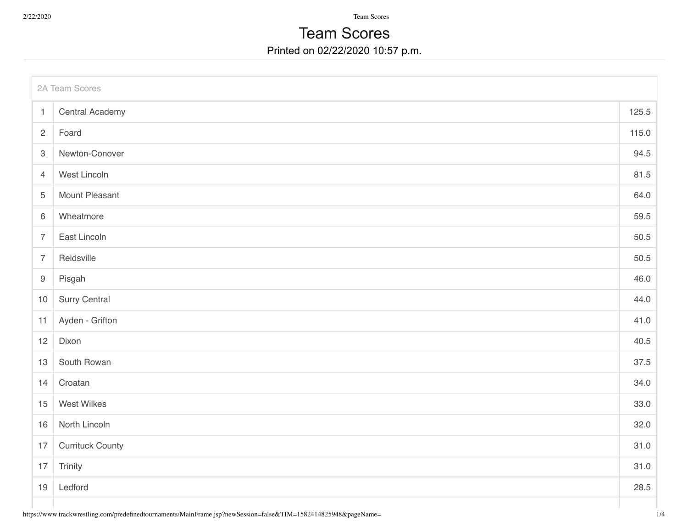2/22/2020 Team Scores

## Printed on 02/22/2020 10:57 p.m. Team Scores

| 2A Team Scores   |                         |       |  |  |
|------------------|-------------------------|-------|--|--|
| $\mathbf{1}$     | <b>Central Academy</b>  | 125.5 |  |  |
| $\overline{2}$   | Foard                   | 115.0 |  |  |
| $\mathbf{3}$     | Newton-Conover          | 94.5  |  |  |
| $\overline{4}$   | West Lincoln            | 81.5  |  |  |
| $\overline{5}$   | <b>Mount Pleasant</b>   | 64.0  |  |  |
| 6                | Wheatmore               | 59.5  |  |  |
| $\overline{7}$   | East Lincoln            | 50.5  |  |  |
| $\overline{7}$   | Reidsville              | 50.5  |  |  |
| $\boldsymbol{9}$ | Pisgah                  | 46.0  |  |  |
| $10$             | Surry Central           | 44.0  |  |  |
| 11               | Ayden - Grifton         | 41.0  |  |  |
| 12               | Dixon                   | 40.5  |  |  |
| 13               | South Rowan             | 37.5  |  |  |
| 14               | Croatan                 | 34.0  |  |  |
| 15               | West Wilkes             | 33.0  |  |  |
| 16               | North Lincoln           | 32.0  |  |  |
| 17               | <b>Currituck County</b> | 31.0  |  |  |
| $17$             | Trinity                 | 31.0  |  |  |
| 19               | Ledford                 | 28.5  |  |  |
|                  |                         |       |  |  |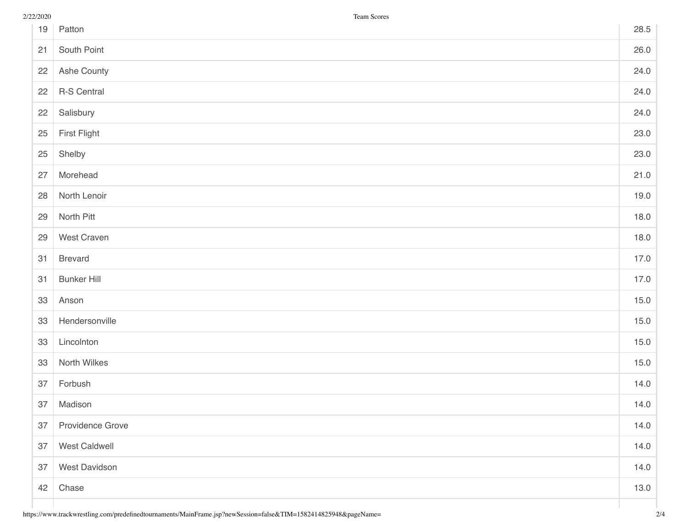| 19 | Patton              | 28.5 |
|----|---------------------|------|
| 21 | South Point         | 26.0 |
| 22 | Ashe County         | 24.0 |
| 22 | <b>R-S Central</b>  | 24.0 |
| 22 | Salisbury           | 24.0 |
| 25 | <b>First Flight</b> | 23.0 |
| 25 | Shelby              | 23.0 |
| 27 | Morehead            | 21.0 |
| 28 | North Lenoir        | 19.0 |
| 29 | North Pitt          | 18.0 |
| 29 | West Craven         | 18.0 |
| 31 | <b>Brevard</b>      | 17.0 |
| 31 | <b>Bunker Hill</b>  | 17.0 |
| 33 | Anson               | 15.0 |
| 33 | Hendersonville      | 15.0 |
| 33 | Lincolnton          | 15.0 |
| 33 | North Wilkes        | 15.0 |
| 37 | Forbush             | 14.0 |
| 37 | Madison             | 14.0 |
| 37 | Providence Grove    | 14.0 |
| 37 | West Caldwell       | 14.0 |
| 37 | West Davidson       | 14.0 |
| 42 | Chase               | 13.0 |
|    |                     |      |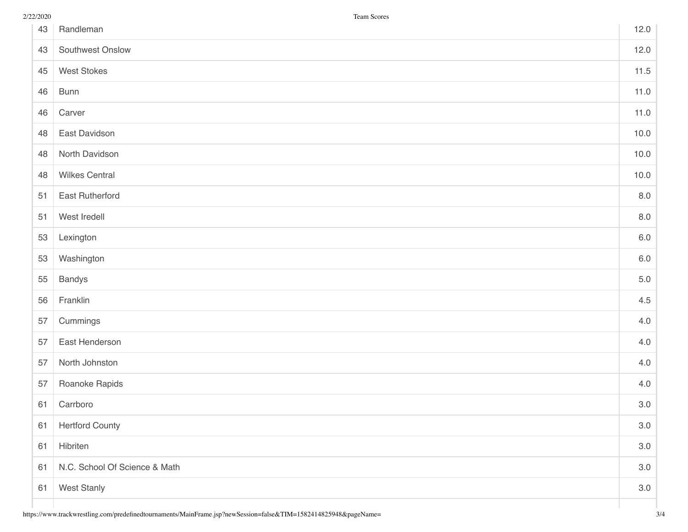| 43 | Randleman                     | 12.0    |
|----|-------------------------------|---------|
| 43 | Southwest Onslow              | 12.0    |
| 45 | <b>West Stokes</b>            | 11.5    |
| 46 | <b>Bunn</b>                   | 11.0    |
| 46 | Carver                        | 11.0    |
| 48 | East Davidson                 | 10.0    |
| 48 | North Davidson                | 10.0    |
| 48 | <b>Wilkes Central</b>         | 10.0    |
| 51 | East Rutherford               | 8.0     |
| 51 | West Iredell                  | $8.0\,$ |
| 53 | Lexington                     | $6.0\,$ |
| 53 | Washington                    | $6.0\,$ |
| 55 | <b>Bandys</b>                 | $5.0\,$ |
| 56 | Franklin                      | 4.5     |
| 57 | Cummings                      | 4.0     |
| 57 | East Henderson                | 4.0     |
| 57 | North Johnston                | 4.0     |
| 57 | Roanoke Rapids                | 4.0     |
| 61 | Carrboro                      | 3.0     |
| 61 | <b>Hertford County</b>        | 3.0     |
| 61 | Hibriten                      | 3.0     |
| 61 | N.C. School Of Science & Math | $3.0\,$ |
| 61 | <b>West Stanly</b>            | 3.0     |
|    |                               |         |